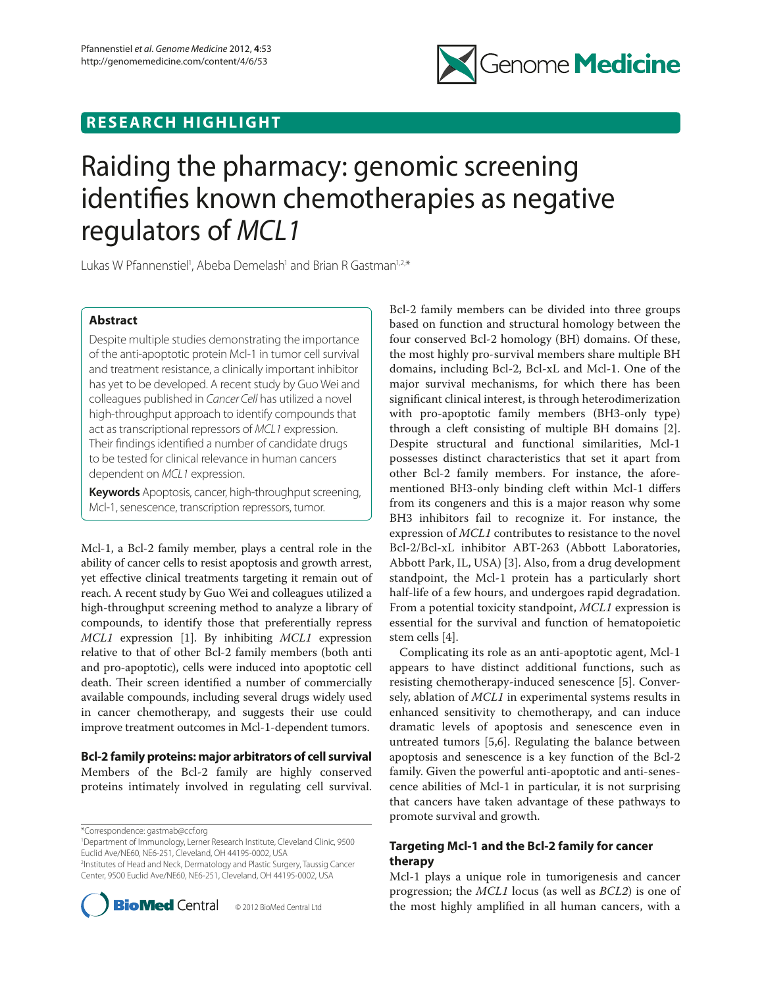

## **RESEARCH HIGHLIGHT**

# Raiding the pharmacy: genomic screening identifies known chemotherapies as negative regulators of *MCL1*

Lukas W Pfannenstiel<sup>1</sup>, Abeba Demelash<sup>1</sup> and Brian R Gastman<sup>1,2,\*</sup>

## **Abstract**

Despite multiple studies demonstrating the importance of the anti-apoptotic protein Mcl-1 in tumor cell survival and treatment resistance, a clinically important inhibitor has yet to be developed. A recent study by Guo Wei and colleagues published in *Cancer Cell* has utilized a novel high-throughput approach to identify compounds that act as transcriptional repressors of *MCL1* expression. Their findings identified a number of candidate drugs to be tested for clinical relevance in human cancers dependent on *MCL1* expression.

**Keywords** Apoptosis, cancer, high-throughput screening, Mcl-1, senescence, transcription repressors, tumor.

Mcl-1, a Bcl-2 family member, plays a central role in the ability of cancer cells to resist apoptosis and growth arrest, yet effective clinical treatments targeting it remain out of reach. A recent study by Guo Wei and colleagues utilized a high-throughput screening method to analyze a library of compounds, to identify those that preferentially repress *MCL1* expression [1]. By inhibiting *MCL1* expression relative to that of other Bcl-2 family members (both anti and pro-apoptotic), cells were induced into apoptotic cell death. Their screen identified a number of commercially available compounds, including several drugs widely used in cancer chemotherapy, and suggests their use could improve treatment outcomes in Mcl-1-dependent tumors.

**Bcl-2 family proteins: major arbitrators of cell survival** Members of the Bcl-2 family are highly conserved proteins intimately involved in regulating cell survival.

\*Correspondence: gastmab@ccf.org

1 Department of Immunology, Lerner Research Institute, Cleveland Clinic, 9500 Euclid Ave/NE60, NE6-251, Cleveland, OH 44195-0002, USA

2 Institutes of Head and Neck, Dermatology and Plastic Surgery, Taussig Cancer Center, 9500 Euclid Ave/NE60, NE6-251, Cleveland, OH 44195-0002, USA



Bcl-2 family members can be divided into three groups based on function and structural homology between the four conserved Bcl-2 homology (BH) domains. Of these, the most highly pro-survival members share multiple BH domains, including Bcl-2, Bcl-xL and Mcl-1. One of the major survival mechanisms, for which there has been significant clinical interest, is through heterodimerization with pro-apoptotic family members (BH3-only type) through a cleft consisting of multiple BH domains [2]. Despite structural and functional similarities, Mcl-1 possesses distinct characteristics that set it apart from other Bcl-2 family members. For instance, the aforementioned BH3-only binding cleft within Mcl-1 differs from its congeners and this is a major reason why some BH3 inhibitors fail to recognize it. For instance, the expression of *MCL1* contributes to resistance to the novel Bcl-2/Bcl-xL inhibitor ABT-263 (Abbott Laboratories, Abbott Park, IL, USA) [3]. Also, from a drug development standpoint, the Mcl-1 protein has a particularly short half-life of a few hours, and undergoes rapid degradation. From a potential toxicity standpoint, *MCL1* expression is essential for the survival and function of hematopoietic stem cells [4].

Complicating its role as an anti-apoptotic agent, Mcl-1 appears to have distinct additional functions, such as resisting chemotherapy-induced senescence [5]. Conversely, ablation of *MCL1* in experimental systems results in enhanced sensitivity to chemotherapy, and can induce dramatic levels of apoptosis and senescence even in untreated tumors [5,6]. Regulating the balance between apoptosis and senescence is a key function of the Bcl-2 family. Given the powerful anti-apoptotic and anti-senescence abilities of Mcl-1 in particular, it is not surprising that cancers have taken advantage of these pathways to promote survival and growth.

## **Targeting Mcl-1 and the Bcl-2 family for cancer therapy**

Mcl-1 plays a unique role in tumorigenesis and cancer progression; the *MCL1* locus (as well as *BCL2*) is one of the most highly amplified in all human cancers, with a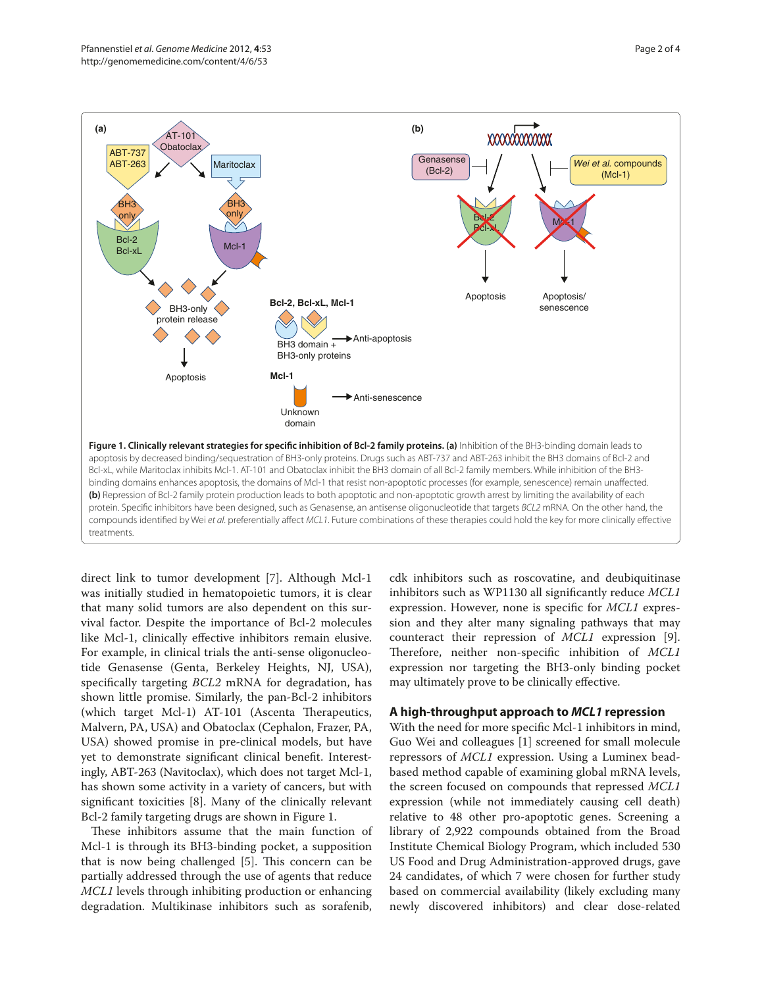

direct link to tumor development [7]. Although Mcl-1 was initially studied in hematopoietic tumors, it is clear that many solid tumors are also dependent on this survival factor. Despite the importance of Bcl-2 molecules like Mcl-1, clinically effective inhibitors remain elusive. For example, in clinical trials the anti-sense oligonucleotide Genasense (Genta, Berkeley Heights, NJ, USA), specifically targeting *BCL2* mRNA for degradation, has shown little promise. Similarly, the pan-Bcl-2 inhibitors (which target Mcl-1) AT-101 (Ascenta Therapeutics, Malvern, PA, USA) and Obatoclax (Cephalon, Frazer, PA, USA) showed promise in pre-clinical models, but have yet to demonstrate significant clinical benefit. Interestingly, ABT-263 (Navitoclax), which does not target Mcl-1, has shown some activity in a variety of cancers, but with significant toxicities [8]. Many of the clinically relevant Bcl-2 family targeting drugs are shown in Figure 1.

These inhibitors assume that the main function of Mcl-1 is through its BH3-binding pocket, a supposition that is now being challenged [5]. This concern can be partially addressed through the use of agents that reduce *MCL1* levels through inhibiting production or enhancing degradation. Multikinase inhibitors such as sorafenib, cdk inhibitors such as roscovatine, and deubiquitinase inhibitors such as WP1130 all significantly reduce *MCL1* expression. However, none is specific for *MCL1* expression and they alter many signaling pathways that may counteract their repression of *MCL1* expression [9]. Therefore, neither non-specific inhibition of *MCL1* expression nor targeting the BH3-only binding pocket may ultimately prove to be clinically effective.

## **A high-throughput approach to** *MCL1* **repression**

With the need for more specific Mcl-1 inhibitors in mind, Guo Wei and colleagues [1] screened for small molecule repressors of *MCL1* expression. Using a Luminex beadbased method capable of examining global mRNA levels, the screen focused on compounds that repressed *MCL1* expression (while not immediately causing cell death) relative to 48 other pro-apoptotic genes. Screening a library of 2,922 compounds obtained from the Broad Institute Chemical Biology Program, which included 530 US Food and Drug Administration-approved drugs, gave 24 candidates, of which 7 were chosen for further study based on commercial availability (likely excluding many newly discovered inhibitors) and clear dose-related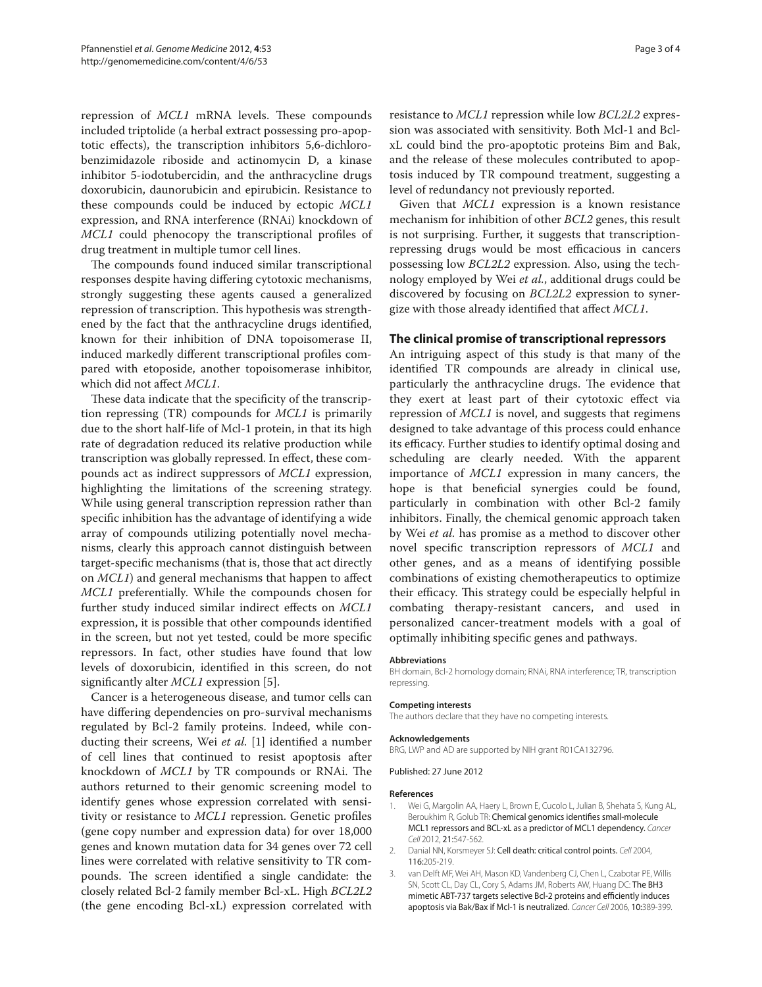repression of *MCL1* mRNA levels. These compounds included triptolide (a herbal extract possessing pro-apoptotic effects), the transcription inhibitors 5,6-dichlorobenzimidazole riboside and actinomycin D, a kinase inhibitor 5-iodotubercidin, and the anthracycline drugs doxorubicin, daunorubicin and epirubicin. Resistance to these compounds could be induced by ectopic *MCL1* expression, and RNA interference (RNAi) knockdown of *MCL1* could phenocopy the transcriptional profiles of drug treatment in multiple tumor cell lines.

The compounds found induced similar transcriptional responses despite having differing cytotoxic mechanisms, strongly suggesting these agents caused a generalized repression of transcription. This hypothesis was strengthened by the fact that the anthracycline drugs identified, known for their inhibition of DNA topoisomerase II, induced markedly different transcriptional profiles compared with etoposide, another topoisomerase inhibitor, which did not affect *MCL1*.

These data indicate that the specificity of the transcription repressing (TR) compounds for *MCL1* is primarily due to the short half-life of Mcl-1 protein, in that its high rate of degradation reduced its relative production while transcription was globally repressed. In effect, these compounds act as indirect suppressors of *MCL1* expression, highlighting the limitations of the screening strategy. While using general transcription repression rather than specific inhibition has the advantage of identifying a wide array of compounds utilizing potentially novel mechanisms, clearly this approach cannot distinguish between target-specific mechanisms (that is, those that act directly on *MCL1*) and general mechanisms that happen to affect *MCL1* preferentially. While the compounds chosen for further study induced similar indirect effects on *MCL1* expression, it is possible that other compounds identified in the screen, but not yet tested, could be more specific repressors. In fact, other studies have found that low levels of doxorubicin, identified in this screen, do not significantly alter *MCL1* expression [5].

Cancer is a heterogeneous disease, and tumor cells can have differing dependencies on pro-survival mechanisms regulated by Bcl-2 family proteins. Indeed, while conducting their screens, Wei *et al.* [1] identified a number of cell lines that continued to resist apoptosis after knockdown of *MCL1* by TR compounds or RNAi. The authors returned to their genomic screening model to identify genes whose expression correlated with sensitivity or resistance to *MCL1* repression. Genetic profiles (gene copy number and expression data) for over 18,000 genes and known mutation data for 34 genes over 72 cell lines were correlated with relative sensitivity to TR compounds. The screen identified a single candidate: the closely related Bcl-2 family member Bcl-xL. High *BCL2L2* (the gene encoding Bcl-xL) expression correlated with resistance to *MCL1* repression while low *BCL2L2* expression was associated with sensitivity. Both Mcl-1 and BclxL could bind the pro-apoptotic proteins Bim and Bak, and the release of these molecules contributed to apoptosis induced by TR compound treatment, suggesting a level of redundancy not previously reported.

Given that *MCL1* expression is a known resistance mechanism for inhibition of other *BCL2* genes, this result is not surprising. Further, it suggests that transcriptionrepressing drugs would be most efficacious in cancers possessing low *BCL2L2* expression. Also, using the technology employed by Wei *et al.*, additional drugs could be discovered by focusing on *BCL2L2* expression to synergize with those already identified that affect *MCL1*.

### **The clinical promise of transcriptional repressors**

An intriguing aspect of this study is that many of the identified TR compounds are already in clinical use, particularly the anthracycline drugs. The evidence that they exert at least part of their cytotoxic effect via repression of *MCL1* is novel, and suggests that regimens designed to take advantage of this process could enhance its efficacy. Further studies to identify optimal dosing and scheduling are clearly needed. With the apparent importance of *MCL1* expression in many cancers, the hope is that beneficial synergies could be found, particularly in combination with other Bcl-2 family inhibitors. Finally, the chemical genomic approach taken by Wei *et al.* has promise as a method to discover other novel specific transcription repressors of *MCL1* and other genes, and as a means of identifying possible combinations of existing chemotherapeutics to optimize their efficacy. This strategy could be especially helpful in combating therapy-resistant cancers, and used in personalized cancer-treatment models with a goal of optimally inhibiting specific genes and pathways.

#### **Abbreviations**

BH domain, Bcl-2 homology domain; RNAi, RNA interference; TR, transcription repressing.

#### **Competing interests**

The authors declare that they have no competing interests.

#### **Acknowledgements**

BRG, LWP and AD are supported by NIH grant R01CA132796.

Published: 27 June 2012

#### **References**

- 1. Wei G, Margolin AA, Haery L, Brown E, Cucolo L, Julian B, Shehata S, Kung AL, Beroukhim R, Golub TR: Chemical genomics identifies small-molecule MCL1 repressors and BCL-xL as a predictor of MCL1 dependency. *Cancer Cell* 2012, 21:547-562.
- 2. Danial NN, Korsmeyer SJ: Cell death: critical control points. *Cell* 2004, 116:205-219.
- 3. van Delft MF, Wei AH, Mason KD, Vandenberg CJ, Chen L, Czabotar PE, Willis SN, Scott CL, Day CL, Cory S, Adams JM, Roberts AW, Huang DC: The BH3 mimetic ABT-737 targets selective Bcl-2 proteins and efficiently induces apoptosis via Bak/Bax if Mcl-1 is neutralized. *Cancer Cell* 2006, 10:389-399.